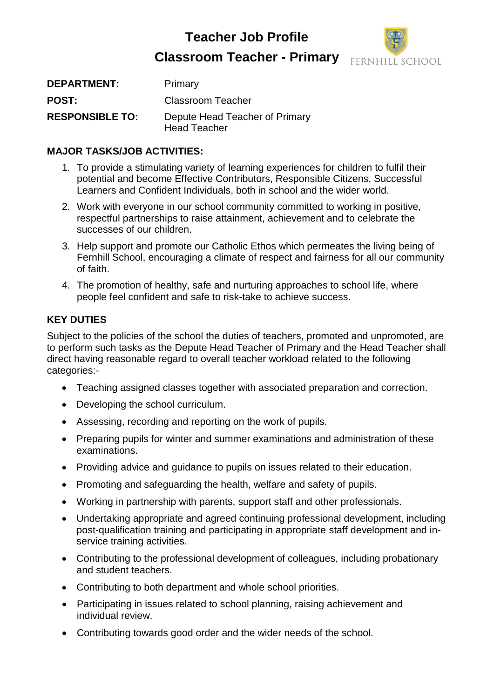## **Teacher Job Profile Classroom Teacher - Primary**



| <b>DEPARTMENT:</b>     | Primary                                               |
|------------------------|-------------------------------------------------------|
| <b>POST:</b>           | <b>Classroom Teacher</b>                              |
| <b>RESPONSIBLE TO:</b> | Depute Head Teacher of Primary<br><b>Head Teacher</b> |

### **MAJOR TASKS/JOB ACTIVITIES:**

- 1. To provide a stimulating variety of learning experiences for children to fulfil their potential and become Effective Contributors, Responsible Citizens, Successful Learners and Confident Individuals, both in school and the wider world.
- 2. Work with everyone in our school community committed to working in positive, respectful partnerships to raise attainment, achievement and to celebrate the successes of our children.
- 3. Help support and promote our Catholic Ethos which permeates the living being of Fernhill School, encouraging a climate of respect and fairness for all our community of faith.
- 4. The promotion of healthy, safe and nurturing approaches to school life, where people feel confident and safe to risk-take to achieve success.

## **KEY DUTIES**

Subject to the policies of the school the duties of teachers, promoted and unpromoted, are to perform such tasks as the Depute Head Teacher of Primary and the Head Teacher shall direct having reasonable regard to overall teacher workload related to the following categories:-

- Teaching assigned classes together with associated preparation and correction.
- Developing the school curriculum.
- Assessing, recording and reporting on the work of pupils.
- Preparing pupils for winter and summer examinations and administration of these examinations.
- Providing advice and guidance to pupils on issues related to their education.
- Promoting and safeguarding the health, welfare and safety of pupils.
- Working in partnership with parents, support staff and other professionals.
- Undertaking appropriate and agreed continuing professional development, including post-qualification training and participating in appropriate staff development and inservice training activities.
- Contributing to the professional development of colleagues, including probationary and student teachers.
- Contributing to both department and whole school priorities.
- Participating in issues related to school planning, raising achievement and individual review.
- Contributing towards good order and the wider needs of the school.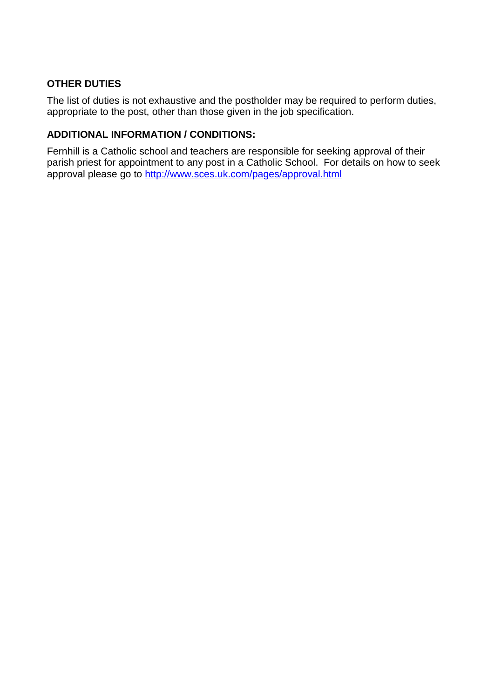#### **OTHER DUTIES**

The list of duties is not exhaustive and the postholder may be required to perform duties, appropriate to the post, other than those given in the job specification.

#### **ADDITIONAL INFORMATION / CONDITIONS:**

Fernhill is a Catholic school and teachers are responsible for seeking approval of their parish priest for appointment to any post in a Catholic School. For details on how to seek approval please go to<http://www.sces.uk.com/pages/approval.html>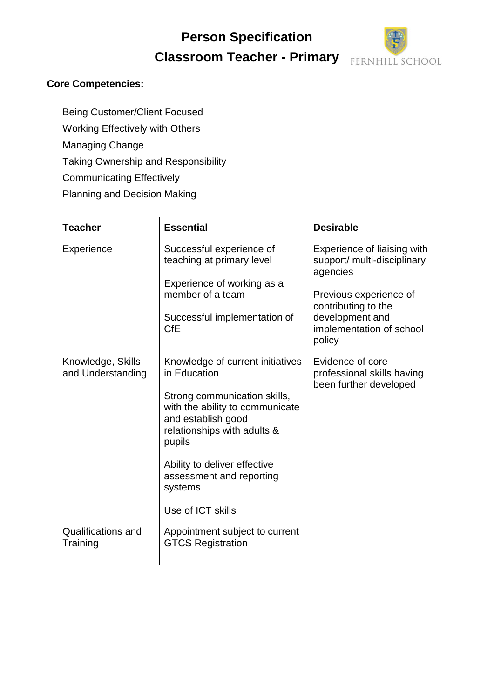# **Person Specification Classroom Teacher - Primary**



#### **Core Competencies:**

Being Customer/Client Focused Working Effectively with Others

Managing Change

Taking Ownership and Responsibility

Communicating Effectively

Planning and Decision Making

| <b>Teacher</b>                         | <b>Essential</b>                                                                                                                                                                                                                                                               | <b>Desirable</b>                                                                                                                                                                 |
|----------------------------------------|--------------------------------------------------------------------------------------------------------------------------------------------------------------------------------------------------------------------------------------------------------------------------------|----------------------------------------------------------------------------------------------------------------------------------------------------------------------------------|
| Experience                             | Successful experience of<br>teaching at primary level<br>Experience of working as a<br>member of a team<br>Successful implementation of<br><b>CfE</b>                                                                                                                          | Experience of liaising with<br>support/ multi-disciplinary<br>agencies<br>Previous experience of<br>contributing to the<br>development and<br>implementation of school<br>policy |
| Knowledge, Skills<br>and Understanding | Knowledge of current initiatives<br>in Education<br>Strong communication skills,<br>with the ability to communicate<br>and establish good<br>relationships with adults &<br>pupils<br>Ability to deliver effective<br>assessment and reporting<br>systems<br>Use of ICT skills | Evidence of core<br>professional skills having<br>been further developed                                                                                                         |
| <b>Qualifications and</b><br>Training  | Appointment subject to current<br><b>GTCS Registration</b>                                                                                                                                                                                                                     |                                                                                                                                                                                  |